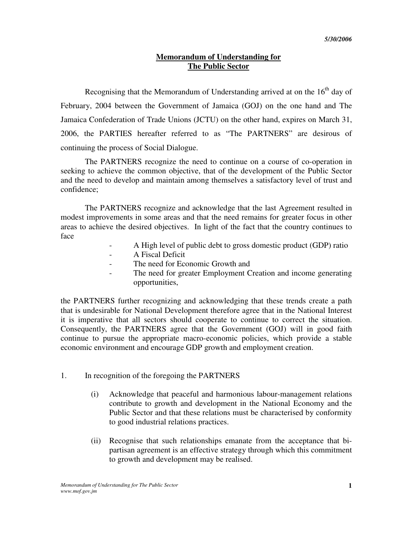# **Memorandum of Understanding for The Public Sector**

Recognising that the Memorandum of Understanding arrived at on the  $16<sup>th</sup>$  day of February, 2004 between the Government of Jamaica (GOJ) on the one hand and The Jamaica Confederation of Trade Unions (JCTU) on the other hand, expires on March 31, 2006, the PARTIES hereafter referred to as "The PARTNERS" are desirous of continuing the process of Social Dialogue.

 The PARTNERS recognize the need to continue on a course of co-operation in seeking to achieve the common objective, that of the development of the Public Sector and the need to develop and maintain among themselves a satisfactory level of trust and confidence;

The PARTNERS recognize and acknowledge that the last Agreement resulted in modest improvements in some areas and that the need remains for greater focus in other areas to achieve the desired objectives. In light of the fact that the country continues to face

- A High level of public debt to gross domestic product (GDP) ratio
- A Fiscal Deficit
- The need for Economic Growth and
- The need for greater Employment Creation and income generating opportunities,

the PARTNERS further recognizing and acknowledging that these trends create a path that is undesirable for National Development therefore agree that in the National Interest it is imperative that all sectors should cooperate to continue to correct the situation. Consequently, the PARTNERS agree that the Government (GOJ) will in good faith continue to pursue the appropriate macro-economic policies, which provide a stable economic environment and encourage GDP growth and employment creation.

- 1. In recognition of the foregoing the PARTNERS
	- (i) Acknowledge that peaceful and harmonious labour-management relations contribute to growth and development in the National Economy and the Public Sector and that these relations must be characterised by conformity to good industrial relations practices.
	- (ii) Recognise that such relationships emanate from the acceptance that bipartisan agreement is an effective strategy through which this commitment to growth and development may be realised.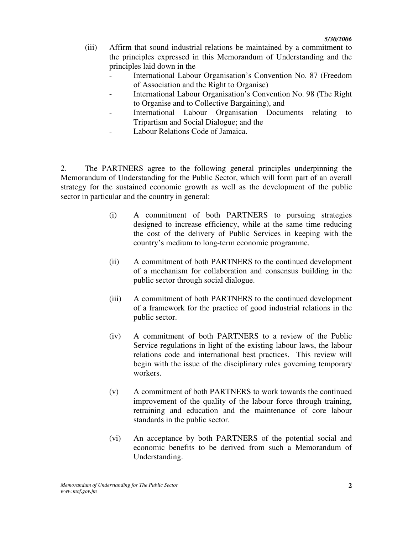- (iii) Affirm that sound industrial relations be maintained by a commitment to the principles expressed in this Memorandum of Understanding and the principles laid down in the
	- International Labour Organisation's Convention No. 87 (Freedom of Association and the Right to Organise)
	- International Labour Organisation's Convention No. 98 (The Right to Organise and to Collective Bargaining), and
	- International Labour Organisation Documents relating to Tripartism and Social Dialogue; and the
	- Labour Relations Code of Jamaica.

2. The PARTNERS agree to the following general principles underpinning the Memorandum of Understanding for the Public Sector, which will form part of an overall strategy for the sustained economic growth as well as the development of the public sector in particular and the country in general:

- (i) A commitment of both PARTNERS to pursuing strategies designed to increase efficiency, while at the same time reducing the cost of the delivery of Public Services in keeping with the country's medium to long-term economic programme.
- (ii) A commitment of both PARTNERS to the continued development of a mechanism for collaboration and consensus building in the public sector through social dialogue.
- (iii) A commitment of both PARTNERS to the continued development of a framework for the practice of good industrial relations in the public sector.
- (iv) A commitment of both PARTNERS to a review of the Public Service regulations in light of the existing labour laws, the labour relations code and international best practices. This review will begin with the issue of the disciplinary rules governing temporary workers.
- (v) A commitment of both PARTNERS to work towards the continued improvement of the quality of the labour force through training, retraining and education and the maintenance of core labour standards in the public sector.
- (vi) An acceptance by both PARTNERS of the potential social and economic benefits to be derived from such a Memorandum of Understanding.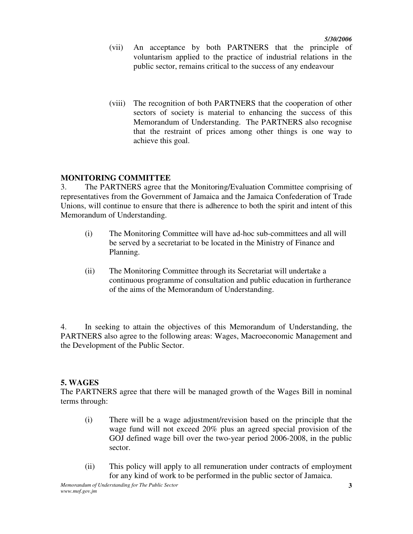- (vii) An acceptance by both PARTNERS that the principle of voluntarism applied to the practice of industrial relations in the public sector, remains critical to the success of any endeavour
- (viii) The recognition of both PARTNERS that the cooperation of other sectors of society is material to enhancing the success of this Memorandum of Understanding. The PARTNERS also recognise that the restraint of prices among other things is one way to achieve this goal.

## **MONITORING COMMITTEE**

3. The PARTNERS agree that the Monitoring/Evaluation Committee comprising of representatives from the Government of Jamaica and the Jamaica Confederation of Trade Unions, will continue to ensure that there is adherence to both the spirit and intent of this Memorandum of Understanding.

- (i) The Monitoring Committee will have ad-hoc sub-committees and all will be served by a secretariat to be located in the Ministry of Finance and Planning.
- (ii) The Monitoring Committee through its Secretariat will undertake a continuous programme of consultation and public education in furtherance of the aims of the Memorandum of Understanding.

4. In seeking to attain the objectives of this Memorandum of Understanding, the PARTNERS also agree to the following areas: Wages, Macroeconomic Management and the Development of the Public Sector.

# **5. WAGES**

The PARTNERS agree that there will be managed growth of the Wages Bill in nominal terms through:

- (i) There will be a wage adjustment/revision based on the principle that the wage fund will not exceed 20% plus an agreed special provision of the GOJ defined wage bill over the two-year period 2006-2008, in the public sector.
- (ii) This policy will apply to all remuneration under contracts of employment for any kind of work to be performed in the public sector of Jamaica.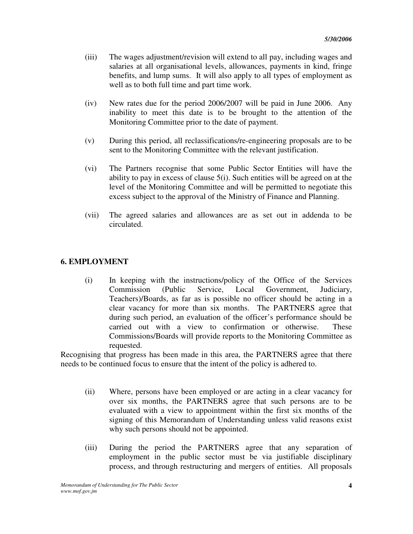- (iii) The wages adjustment/revision will extend to all pay, including wages and salaries at all organisational levels, allowances, payments in kind, fringe benefits, and lump sums. It will also apply to all types of employment as well as to both full time and part time work.
- (iv) New rates due for the period 2006/2007 will be paid in June 2006. Any inability to meet this date is to be brought to the attention of the Monitoring Committee prior to the date of payment.
- (v) During this period, all reclassifications/re-engineering proposals are to be sent to the Monitoring Committee with the relevant justification.
- (vi) The Partners recognise that some Public Sector Entities will have the ability to pay in excess of clause 5(i). Such entities will be agreed on at the level of the Monitoring Committee and will be permitted to negotiate this excess subject to the approval of the Ministry of Finance and Planning.
- (vii) The agreed salaries and allowances are as set out in addenda to be circulated.

### **6. EMPLOYMENT**

(i) In keeping with the instructions/policy of the Office of the Services Commission (Public Service, Local Government, Judiciary, Teachers)/Boards, as far as is possible no officer should be acting in a clear vacancy for more than six months. The PARTNERS agree that during such period, an evaluation of the officer's performance should be carried out with a view to confirmation or otherwise. These Commissions/Boards will provide reports to the Monitoring Committee as requested.

Recognising that progress has been made in this area, the PARTNERS agree that there needs to be continued focus to ensure that the intent of the policy is adhered to.

- (ii) Where, persons have been employed or are acting in a clear vacancy for over six months, the PARTNERS agree that such persons are to be evaluated with a view to appointment within the first six months of the signing of this Memorandum of Understanding unless valid reasons exist why such persons should not be appointed.
- (iii) During the period the PARTNERS agree that any separation of employment in the public sector must be via justifiable disciplinary process, and through restructuring and mergers of entities. All proposals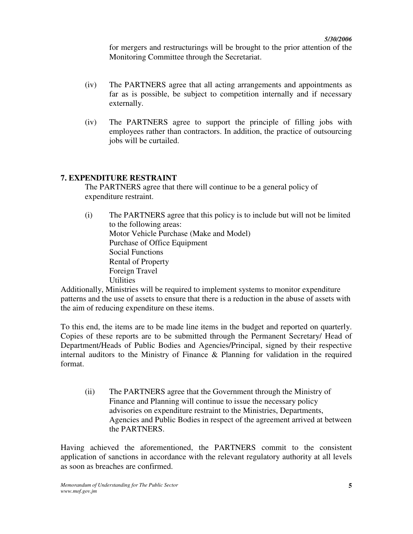for mergers and restructurings will be brought to the prior attention of the Monitoring Committee through the Secretariat.

- (iv) The PARTNERS agree that all acting arrangements and appointments as far as is possible, be subject to competition internally and if necessary externally.
- (iv) The PARTNERS agree to support the principle of filling jobs with employees rather than contractors. In addition, the practice of outsourcing jobs will be curtailed.

## **7. EXPENDITURE RESTRAINT**

The PARTNERS agree that there will continue to be a general policy of expenditure restraint.

(i) The PARTNERS agree that this policy is to include but will not be limited to the following areas: Motor Vehicle Purchase (Make and Model) Purchase of Office Equipment Social Functions Rental of Property Foreign Travel **Utilities** 

Additionally, Ministries will be required to implement systems to monitor expenditure patterns and the use of assets to ensure that there is a reduction in the abuse of assets with the aim of reducing expenditure on these items.

To this end, the items are to be made line items in the budget and reported on quarterly. Copies of these reports are to be submitted through the Permanent Secretary/ Head of Department/Heads of Public Bodies and Agencies/Principal, signed by their respective internal auditors to the Ministry of Finance & Planning for validation in the required format.

(ii) The PARTNERS agree that the Government through the Ministry of Finance and Planning will continue to issue the necessary policy advisories on expenditure restraint to the Ministries, Departments, Agencies and Public Bodies in respect of the agreement arrived at between the PARTNERS.

Having achieved the aforementioned, the PARTNERS commit to the consistent application of sanctions in accordance with the relevant regulatory authority at all levels as soon as breaches are confirmed.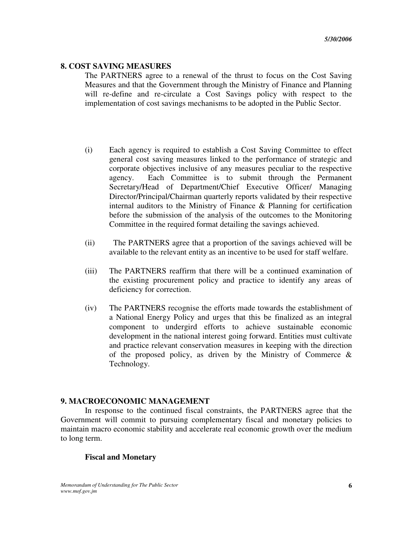#### **8. COST SAVING MEASURES**

The PARTNERS agree to a renewal of the thrust to focus on the Cost Saving Measures and that the Government through the Ministry of Finance and Planning will re-define and re-circulate a Cost Savings policy with respect to the implementation of cost savings mechanisms to be adopted in the Public Sector.

- (i) Each agency is required to establish a Cost Saving Committee to effect general cost saving measures linked to the performance of strategic and corporate objectives inclusive of any measures peculiar to the respective agency. Each Committee is to submit through the Permanent Secretary/Head of Department/Chief Executive Officer/ Managing Director/Principal/Chairman quarterly reports validated by their respective internal auditors to the Ministry of Finance & Planning for certification before the submission of the analysis of the outcomes to the Monitoring Committee in the required format detailing the savings achieved.
- (ii) The PARTNERS agree that a proportion of the savings achieved will be available to the relevant entity as an incentive to be used for staff welfare.
- (iii) The PARTNERS reaffirm that there will be a continued examination of the existing procurement policy and practice to identify any areas of deficiency for correction.
- (iv) The PARTNERS recognise the efforts made towards the establishment of a National Energy Policy and urges that this be finalized as an integral component to undergird efforts to achieve sustainable economic development in the national interest going forward. Entities must cultivate and practice relevant conservation measures in keeping with the direction of the proposed policy, as driven by the Ministry of Commerce  $\&$ Technology.

#### **9. MACROECONOMIC MANAGEMENT**

 In response to the continued fiscal constraints, the PARTNERS agree that the Government will commit to pursuing complementary fiscal and monetary policies to maintain macro economic stability and accelerate real economic growth over the medium to long term.

#### **Fiscal and Monetary**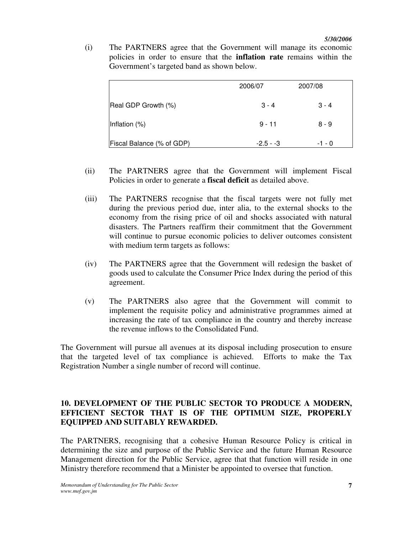(i) The PARTNERS agree that the Government will manage its economic policies in order to ensure that the **inflation rate** remains within the Government's targeted band as shown below.

|                           | 2006/07    | 2007/08  |
|---------------------------|------------|----------|
| Real GDP Growth (%)       | $3 - 4$    | $3 - 4$  |
| Inflation (%)             | $9 - 11$   | $8 - 9$  |
| Fiscal Balance (% of GDP) | $-2.5 - 3$ | $-1 - 0$ |

- (ii) The PARTNERS agree that the Government will implement Fiscal Policies in order to generate a **fiscal deficit** as detailed above.
- (iii) The PARTNERS recognise that the fiscal targets were not fully met during the previous period due, inter alia, to the external shocks to the economy from the rising price of oil and shocks associated with natural disasters. The Partners reaffirm their commitment that the Government will continue to pursue economic policies to deliver outcomes consistent with medium term targets as follows:
- (iv) The PARTNERS agree that the Government will redesign the basket of goods used to calculate the Consumer Price Index during the period of this agreement.
- (v) The PARTNERS also agree that the Government will commit to implement the requisite policy and administrative programmes aimed at increasing the rate of tax compliance in the country and thereby increase the revenue inflows to the Consolidated Fund.

The Government will pursue all avenues at its disposal including prosecution to ensure that the targeted level of tax compliance is achieved. Efforts to make the Tax Registration Number a single number of record will continue.

# **10. DEVELOPMENT OF THE PUBLIC SECTOR TO PRODUCE A MODERN, EFFICIENT SECTOR THAT IS OF THE OPTIMUM SIZE, PROPERLY EQUIPPED AND SUITABLY REWARDED.**

The PARTNERS, recognising that a cohesive Human Resource Policy is critical in determining the size and purpose of the Public Service and the future Human Resource Management direction for the Public Service, agree that that function will reside in one Ministry therefore recommend that a Minister be appointed to oversee that function.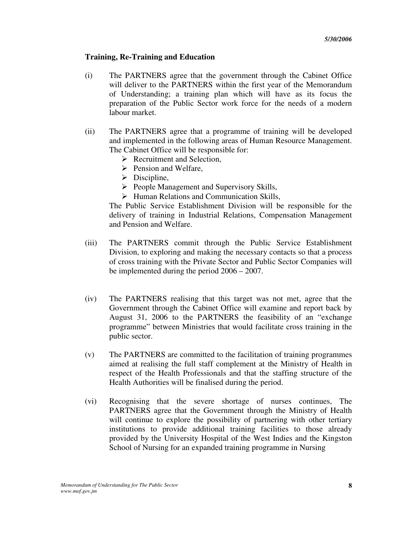## **Training, Re-Training and Education**

- (i) The PARTNERS agree that the government through the Cabinet Office will deliver to the PARTNERS within the first year of the Memorandum of Understanding; a training plan which will have as its focus the preparation of the Public Sector work force for the needs of a modern labour market.
- (ii) The PARTNERS agree that a programme of training will be developed and implemented in the following areas of Human Resource Management. The Cabinet Office will be responsible for:
	- $\triangleright$  Recruitment and Selection.
	- $\triangleright$  Pension and Welfare,
	- $\triangleright$  Discipline,
	- $\triangleright$  People Management and Supervisory Skills,
	- $\triangleright$  Human Relations and Communication Skills,

The Public Service Establishment Division will be responsible for the delivery of training in Industrial Relations, Compensation Management and Pension and Welfare.

- (iii) The PARTNERS commit through the Public Service Establishment Division, to exploring and making the necessary contacts so that a process of cross training with the Private Sector and Public Sector Companies will be implemented during the period 2006 – 2007.
- (iv) The PARTNERS realising that this target was not met, agree that the Government through the Cabinet Office will examine and report back by August 31, 2006 to the PARTNERS the feasibility of an "exchange programme" between Ministries that would facilitate cross training in the public sector.
- (v) The PARTNERS are committed to the facilitation of training programmes aimed at realising the full staff complement at the Ministry of Health in respect of the Health Professionals and that the staffing structure of the Health Authorities will be finalised during the period.
- (vi) Recognising that the severe shortage of nurses continues, The PARTNERS agree that the Government through the Ministry of Health will continue to explore the possibility of partnering with other tertiary institutions to provide additional training facilities to those already provided by the University Hospital of the West Indies and the Kingston School of Nursing for an expanded training programme in Nursing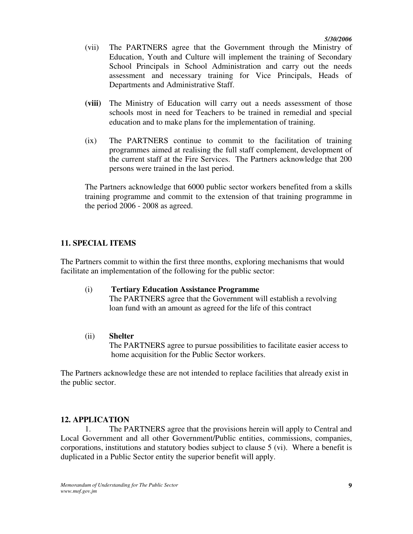- (vii) The PARTNERS agree that the Government through the Ministry of Education, Youth and Culture will implement the training of Secondary School Principals in School Administration and carry out the needs assessment and necessary training for Vice Principals, Heads of Departments and Administrative Staff.
- **(viii)** The Ministry of Education will carry out a needs assessment of those schools most in need for Teachers to be trained in remedial and special education and to make plans for the implementation of training.
- (ix) The PARTNERS continue to commit to the facilitation of training programmes aimed at realising the full staff complement, development of the current staff at the Fire Services. The Partners acknowledge that 200 persons were trained in the last period.

The Partners acknowledge that 6000 public sector workers benefited from a skills training programme and commit to the extension of that training programme in the period 2006 - 2008 as agreed.

# **11. SPECIAL ITEMS**

The Partners commit to within the first three months, exploring mechanisms that would facilitate an implementation of the following for the public sector:

### (i) **Tertiary Education Assistance Programme**

The PARTNERS agree that the Government will establish a revolving loan fund with an amount as agreed for the life of this contract

### (ii) **Shelter**

 The PARTNERS agree to pursue possibilities to facilitate easier access to home acquisition for the Public Sector workers.

The Partners acknowledge these are not intended to replace facilities that already exist in the public sector.

# **12. APPLICATION**

1. The PARTNERS agree that the provisions herein will apply to Central and Local Government and all other Government/Public entities, commissions, companies, corporations, institutions and statutory bodies subject to clause 5 (vi). Where a benefit is duplicated in a Public Sector entity the superior benefit will apply.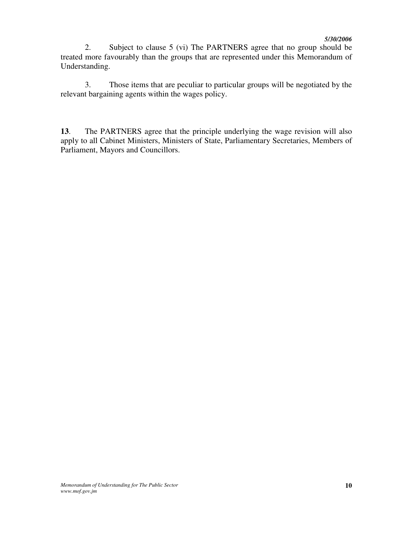#### *5/30/2006*

2. Subject to clause 5 (vi) The PARTNERS agree that no group should be treated more favourably than the groups that are represented under this Memorandum of Understanding.

3. Those items that are peculiar to particular groups will be negotiated by the relevant bargaining agents within the wages policy.

**13**. The PARTNERS agree that the principle underlying the wage revision will also apply to all Cabinet Ministers, Ministers of State, Parliamentary Secretaries, Members of Parliament, Mayors and Councillors.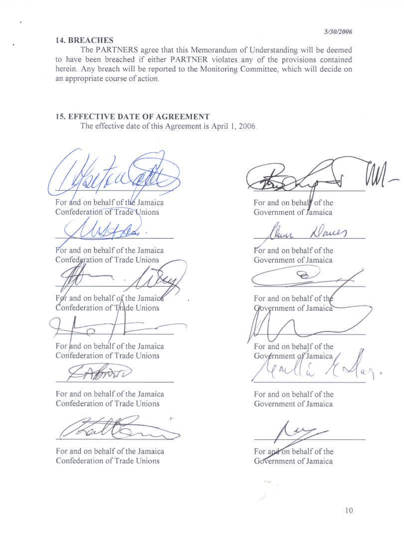#### **14. BREACHES**

The PARTNERS agree that this Memorandum of Understanding will be deemed to have been breached if either PARTNER violates any of the provisions contained herein. Any breach will be reported to the Monitoring Committee, which will decide on an appropriate course of action.

### **15. EFFECTIVE DATE OF AGREEMENT**

The effective date of this Agreement is April 1, 2006.

For and on behalf of the Jamaica Confederation of Trade Unions

For and on behalf of the Jamaica Confederation of Trade Unions

For and on behalf of the Jamaica Confederation of Trade Unions

For and on behalf of the Jamaica Confederation of Trade Unions

For and on behalf of the Jamaica Confederation of Trade Unions

For and on behalf of the Jamaica Confederation of Trade Unions

For and on behal⊮ of the Government of Jamaica

aue

For and on behalf of the Government of Jamaica

For and on behalf of the Government of Jamaica

For and on behalf of the Government of Jamaica  $n$ 

For and on behalf of the Government of Jamaica

For and on behalf of the Government of Jamaica

 $10$